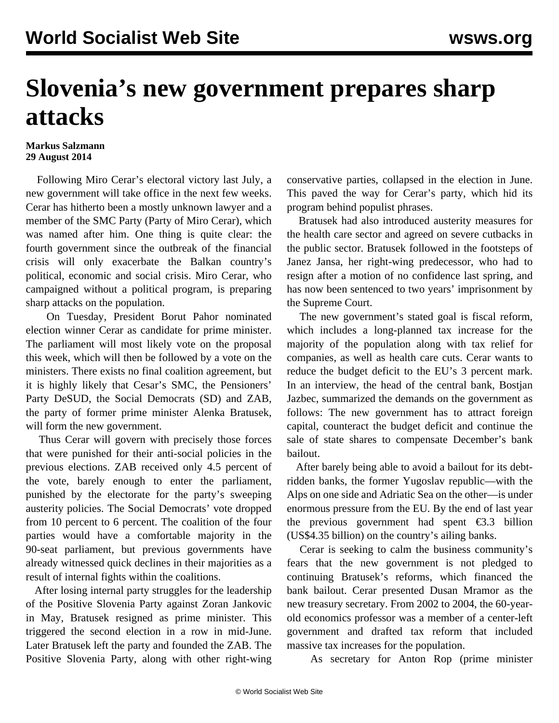## **Slovenia's new government prepares sharp attacks**

## **Markus Salzmann 29 August 2014**

 Following Miro Cerar's electoral victory last July, a new government will take office in the next few weeks. Cerar has hitherto been a mostly unknown lawyer and a member of the SMC Party (Party of Miro Cerar), which was named after him. One thing is quite clear: the fourth government since the outbreak of the financial crisis will only exacerbate the Balkan country's political, economic and social crisis. Miro Cerar, who campaigned without a political program, is preparing sharp attacks on the population.

 On Tuesday, President Borut Pahor nominated election winner Cerar as candidate for prime minister. The parliament will most likely vote on the proposal this week, which will then be followed by a vote on the ministers. There exists no final coalition agreement, but it is highly likely that Cesar's SMC, the Pensioners' Party DeSUD, the Social Democrats (SD) and ZAB, the party of former prime minister Alenka Bratusek, will form the new government.

 Thus Cerar will govern with precisely those forces that were punished for their anti-social policies in the previous elections. ZAB received only 4.5 percent of the vote, barely enough to enter the parliament, punished by the electorate for the party's sweeping austerity policies. The Social Democrats' vote dropped from 10 percent to 6 percent. The coalition of the four parties would have a comfortable majority in the 90-seat parliament, but previous governments have already witnessed quick declines in their majorities as a result of internal fights within the coalitions.

 After losing internal party struggles for the leadership of the Positive Slovenia Party against Zoran Jankovic in May, Bratusek resigned as prime minister. This triggered the second election in a row in mid-June. Later Bratusek left the party and founded the ZAB. The Positive Slovenia Party, along with other right-wing conservative parties, collapsed in the election in June. This paved the way for Cerar's party, which hid its program behind populist phrases.

 Bratusek had also introduced austerity measures for the health care sector and agreed on severe cutbacks in the public sector. Bratusek followed in the footsteps of Janez Jansa, her right-wing predecessor, who had to resign after a motion of no confidence last spring, and has now been sentenced to two years' imprisonment by the Supreme Court.

 The new government's stated goal is fiscal reform, which includes a long-planned tax increase for the majority of the population along with tax relief for companies, as well as health care cuts. Cerar wants to reduce the budget deficit to the EU's 3 percent mark. In an interview, the head of the central bank, Bostjan Jazbec, summarized the demands on the government as follows: The new government has to attract foreign capital, counteract the budget deficit and continue the sale of state shares to compensate December's bank bailout.

 After barely being able to avoid a bailout for its debtridden banks, the former Yugoslav republic—with the Alps on one side and Adriatic Sea on the other—is under enormous pressure from the EU. By the end of last year the previous government had spent €3.3 billion (US\$4.35 billion) on the country's ailing banks.

 Cerar is seeking to calm the business community's fears that the new government is not pledged to continuing Bratusek's reforms, which financed the bank bailout. Cerar presented Dusan Mramor as the new treasury secretary. From 2002 to 2004, the 60-yearold economics professor was a member of a center-left government and drafted tax reform that included massive tax increases for the population.

As secretary for Anton Rop (prime minister